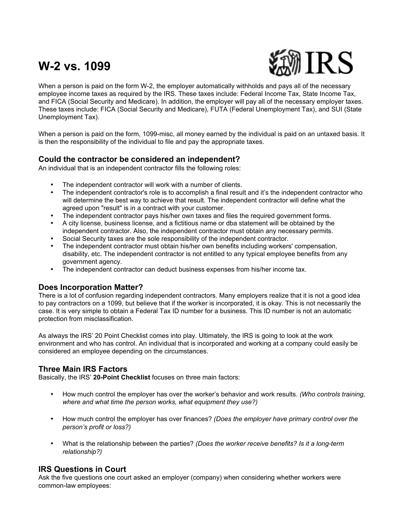# **W-2 vs. 1099**



When a person is paid on the form W-2, the employer automatically withholds and pays all of the necessary employee income taxes as required by the IRS. These taxes include: Federal Income Tax, State Income Tax, and FICA (Social Security and Medicare). In addition, the employer will pay all of the necessary employer taxes. These taxes include: FICA (Social Security and Medicare), FUTA (Federal Unemployment Tax), and SUI (State Unemployment Tax).

When a person is paid on the form, 1099-misc, all money earned by the individual is paid on an untaxed basis. It is then the responsibility of the individual to file and pay the appropriate taxes.

### **Could the contractor be considered an independent?**

An individual that is an independent contractor fills the following roles:

- The independent contractor will work with a number of clients.
- The independent contractor's role is to accomplish a final result and it's the independent contractor who will determine the best way to achieve that result. The independent contractor will define what the agreed upon "result" is in a contract with your customer.
- The independent contractor pays his/her own taxes and files the required government forms.
- A city license, business license, and a fictitious name or dba statement will be obtained by the independent contractor. Also, the independent contractor must obtain any necessary permits.
- Social Security taxes are the sole responsibility of the independent contractor.
- The independent contractor must obtain his/her own benefits including workers' compensation, disability, etc. The independent contractor is not entitled to any typical employee benefits from any government agency.
- The independent contractor can deduct business expenses from his/her income tax.

#### **Does Incorporation Matter?**

There is a lot of confusion regarding independent contractors. Many employers realize that it is not a good idea to pay contractors on a 1099, but believe that if the worker is incorporated, it is okay. This is not necessarily the case. It is very simple to obtain a Federal Tax ID number for a business. This ID number is not an automatic protection from misclassification.

As always the IRS' 20 Point Checklist comes into play. Ultimately, the IRS is going to look at the work environment and who has control. An individual that is incorporated and working at a company could easily be considered an employee depending on the circumstances.

#### **Three Main IRS Factors**

Basically, the IRS' **20-Point Checklist** focuses on three main factors:

- How much control the employer has over the worker's behavior and work results. *(Who controls training, where and what time the person works, what equipment they use?)*
- How much control the employer has over finances? *(Does the employer have primary control over the person's profit or loss?)*
- What is the relationship between the parties? *(Does the worker receive benefits? Is it a long-term relationship?)*

#### **IRS Questions in Court**

Ask the five questions one court asked an employer (company) when considering whether workers were common-law employees: